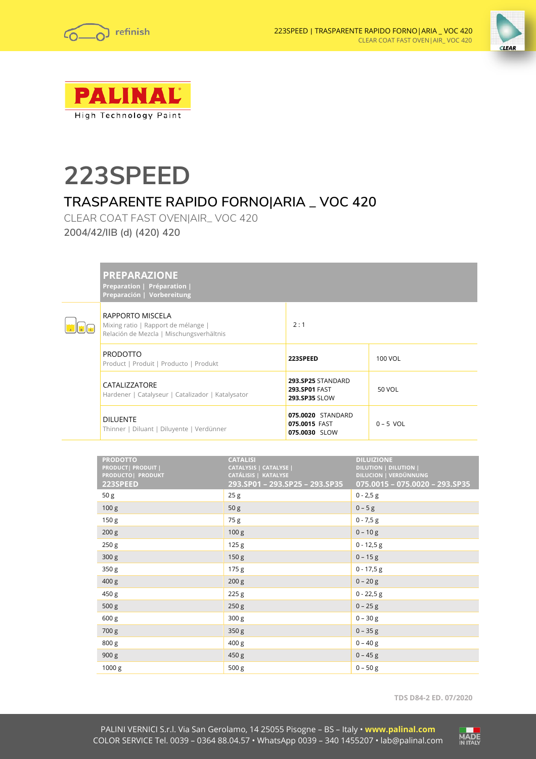





# **223SPEED**

# **TRASPARENTE RAPIDO FORNO|ARIA \_ VOC 420**

CLEAR COAT FAST OVEN|AIR\_ VOC 420 **2004/42/IIB (d) (420) 420**

**Preparation | Préparation | Preparación | Vorbereitung**



| RAPPORTO MISCELA<br>Mixing ratio   Rapport de mélange  <br>Relación de Mezcla   Mischungsverhältnis | 2:1                                                        |             |
|-----------------------------------------------------------------------------------------------------|------------------------------------------------------------|-------------|
| <b>PRODOTTO</b><br>Product   Produit   Producto   Produkt                                           | 223SPEED                                                   | 100 VOL     |
| CATALIZZATORE<br>Hardener   Catalyseur   Catalizador   Katalysator                                  | 293.SP25 STANDARD<br><b>293.SP01 FAST</b><br>293.SP35 SLOW | 50 VOL      |
| <b>DILUENTE</b><br>Thinner   Diluant   Diluyente   Verdünner                                        | 075.0020 STANDARD<br>075.0015 FAST<br>075.0030 SLOW        | $0 - 5$ VOL |

 $\mathbf{I}$ 

| <b>PRODOTTO</b><br>PRODUCT  PRODUIT  <br>PRODUCTO  PRODUKT<br>223SPEED | <b>CATALISI</b><br>CATALYSIS   CATALYSE  <br>CATÁLISIS   KATALYSE<br>293.SP01 - 293.SP25 - 293.SP35 | <b>DILUIZIONE</b><br><b>DILUTION   DILUTION  </b><br><b>DILUCION   VERDÜNNUNG</b><br>075.0015 - 075.0020 - 293.SP35 |
|------------------------------------------------------------------------|-----------------------------------------------------------------------------------------------------|---------------------------------------------------------------------------------------------------------------------|
| 50 <sub>g</sub>                                                        | 25g                                                                                                 | $0 - 2,5 g$                                                                                                         |
| 100 g                                                                  | 50 <sub>g</sub>                                                                                     | $0 - 5g$                                                                                                            |
| 150 <sub>g</sub>                                                       | 75 g                                                                                                | $0 - 7,5 g$                                                                                                         |
| 200 g                                                                  | 100 <sub>g</sub>                                                                                    | $0 - 10g$                                                                                                           |
| 250 g                                                                  | 125g                                                                                                | $0 - 12,5 g$                                                                                                        |
| 300 g                                                                  | 150 <sub>g</sub>                                                                                    | $0 - 15g$                                                                                                           |
| 350 <sub>g</sub>                                                       | 175 <sub>g</sub>                                                                                    | $0 - 17,5 g$                                                                                                        |
| 400 <sub>g</sub>                                                       | 200 <sub>g</sub>                                                                                    | $0 - 20 g$                                                                                                          |
| 450 g                                                                  | 225 g                                                                                               | $0 - 22.5 g$                                                                                                        |
| 500 g                                                                  | 250 g                                                                                               | $0 - 25$ g                                                                                                          |
| 600 g                                                                  | 300 <sub>g</sub>                                                                                    | $0 - 30 g$                                                                                                          |
| 700 g                                                                  | 350 <sub>g</sub>                                                                                    | $0 - 35 g$                                                                                                          |
| 800 g                                                                  | 400 <sub>g</sub>                                                                                    | $0 - 40 g$                                                                                                          |
| 900 g                                                                  | 450 g                                                                                               | $0 - 45$ g                                                                                                          |
| 1000 g                                                                 | 500 g                                                                                               | $0 - 50 g$                                                                                                          |

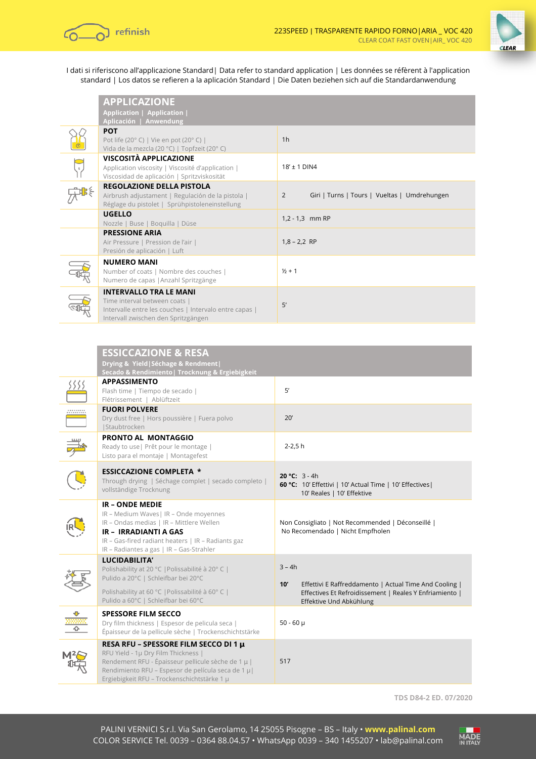



I dati si riferiscono all'applicazione Standard| Data refer to standard application | Les données se réfèrent à l'application standard | Los datos se refieren a la aplicación Standard | Die Daten beziehen sich auf die Standardanwendung

|                         | <b>APPLICAZIONE</b><br>Application   Application  <br>Aplicación   Anwendung                                                                                    |                                                   |
|-------------------------|-----------------------------------------------------------------------------------------------------------------------------------------------------------------|---------------------------------------------------|
|                         | <b>POT</b><br>Pot life (20°C)   Vie en pot (20°C)  <br>Vida de la mezcla (20 °C)   Topfzeit (20°C)                                                              | 1 <sub>h</sub>                                    |
| $\overline{\mathbf{S}}$ | VISCOSITÀ APPLICAZIONE<br>Application viscosity   Viscosité d'application  <br>Viscosidad de aplicación   Spritzviskosität                                      | $18' \pm 1$ DIN4                                  |
|                         | <b>REGOLAZIONE DELLA PISTOLA</b><br>Airbrush adjustament   Regulación de la pistola  <br>Réglage du pistolet   Sprühpistoleneinstellung                         | Giri   Turns   Tours   Vueltas   Umdrehungen<br>2 |
|                         | <b>UGELLO</b><br>Nozzle   Buse   Boquilla   Düse                                                                                                                | 1,2 - 1,3 mm RP                                   |
|                         | <b>PRESSIONE ARIA</b><br>Air Pressure   Pression de l'air  <br>Presión de aplicación   Luft                                                                     | $1,8 - 2,2$ RP                                    |
|                         | <b>NUMERO MANI</b><br>Number of coats   Nombre des couches  <br>Numero de capas   Anzahl Spritzgänge                                                            | $1/2 + 1$                                         |
|                         | <b>INTERVALLO TRA LE MANI</b><br>Time interval between coats  <br>Intervalle entre les couches   Intervalo entre capas  <br>Intervall zwischen den Spritzgängen | 5'                                                |

|                         | <b>ESSICCAZIONE &amp; RESA</b>                                                                                                                                                                                                               |                                                                                                                                                                 |
|-------------------------|----------------------------------------------------------------------------------------------------------------------------------------------------------------------------------------------------------------------------------------------|-----------------------------------------------------------------------------------------------------------------------------------------------------------------|
|                         | Drying & Yield   Séchage & Rendment  <br>Secado & Rendimiento   Trocknung & Ergiebigkeit                                                                                                                                                     |                                                                                                                                                                 |
|                         | <b>APPASSIMENTO</b><br>Flash time   Tiempo de secado  <br>Flétrissement   Ablüftzeit                                                                                                                                                         | 5'                                                                                                                                                              |
| .<br>.                  | <b>FUORI POLVERE</b><br>Dry dust free   Hors poussière   Fuera polvo<br>Staubtrocken                                                                                                                                                         | 20'                                                                                                                                                             |
|                         | <b>PRONTO AL MONTAGGIO</b><br>Ready to use   Prêt pour le montage  <br>Listo para el montaje   Montagefest                                                                                                                                   | $2 - 2.5h$                                                                                                                                                      |
|                         | <b>ESSICCAZIONE COMPLETA *</b><br>Through drying   Séchage complet   secado completo  <br>vollständige Trocknung                                                                                                                             | 20 °C: $3 - 4h$<br>60 °C: 10' Effettivi   10' Actual Time   10' Effectives  <br>10' Reales   10' Effektive                                                      |
|                         | <b>IR-ONDE MEDIE</b><br>IR - Medium Waves   IR - Onde moyennes<br>IR - Ondas medias   IR - Mittlere Wellen<br><b>IR - IRRADIANTI A GAS</b><br>IR - Gas-fired radiant heaters   IR - Radiants gaz<br>IR - Radiantes a gas   IR - Gas-Strahler | Non Consigliato   Not Recommended   Déconseillé  <br>No Recomendado   Nicht Empfholen                                                                           |
|                         | LUCIDABILITA'<br>Polishability at 20 °C   Polissabilité à 20°C  <br>Pulido a 20°C   Schleifbar bei 20°C<br>Polishability at 60 °C   Polissabilité à 60°C  <br>Pulido a 60°C   Schleifbar bei 60°C                                            | $3 - 4h$<br>Effettivi E Raffreddamento   Actual Time And Cooling  <br>10'<br>Effectives Et Refroidissement   Reales Y Enfriamiento  <br>Effektive Und Abkühlung |
| $\frac{1}{\frac{1}{2}}$ | <b>SPESSORE FILM SECCO</b><br>Dry film thickness   Espesor de pelicula seca  <br>Épaisseur de la pellicule sèche   Trockenschichtstärke                                                                                                      | $50 - 60 \mu$                                                                                                                                                   |
|                         | RESA RFU - SPESSORE FILM SECCO DI 1 µ<br>RFU Yield - 1µ Dry Film Thickness  <br>Rendement RFU - Épaisseur pellicule sèche de 1 µ  <br>Rendimiento RFU - Espesor de película seca de 1 µ  <br>Ergiebigkeit RFU - Trockenschichtstärke 1 µ     | 517                                                                                                                                                             |

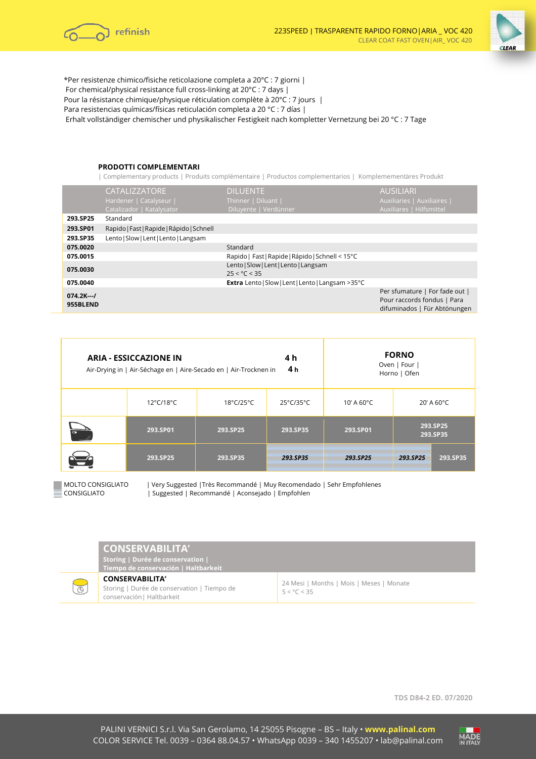



\*Per resistenze chimico/fisiche reticolazione completa a 20°C : 7 giorni | For chemical/physical resistance full cross-linking at 20°C : 7 days | Pour la résistance chimique/physique réticulation complète à 20°C : 7 jours | Para resistencias químicas/físicas reticulación completa a 20 °C : 7 días | Erhalt vollständiger chemischer und physikalischer Festigkeit nach kompletter Vernetzung bei 20 °C : 7 Tage

### **PRODOTTI COMPLEMENTARI**

| Complementary products | Produits complémentaire | Productos complementarios | Komplemementӓres Produkt

|                        | CATALIZZATORE<br>Hardener   Catalyseur  <br>Catalizador   Katalysator | <b>DILUENTE</b><br>Thinner   Diluant  <br>Diluyente   Verdünner    | <b>AUSILIARI</b> '<br>Auxiliaries   Auxiliaires  <br>Auxiliares   Hilfsmittel                 |
|------------------------|-----------------------------------------------------------------------|--------------------------------------------------------------------|-----------------------------------------------------------------------------------------------|
| 293.SP25               | Standard                                                              |                                                                    |                                                                                               |
| 293.SP01               | Rapido   Fast   Rapide   Rápido   Schnell                             |                                                                    |                                                                                               |
| 293.SP35               | Lento   Slow   Lent   Lento   Langsam                                 |                                                                    |                                                                                               |
| 075.0020               |                                                                       | Standard                                                           |                                                                                               |
| 075.0015               |                                                                       | Rapido   Fast   Rapide   Rápido   Schnell < 15°C                   |                                                                                               |
| 075.0030               |                                                                       | Lento   Slow   Lent   Lento   Langsam<br>$25 < \textdegree C < 35$ |                                                                                               |
| 075.0040               |                                                                       | Extra Lento   Slow   Lent   Lento   Langsam > 35°C                 |                                                                                               |
| $074.2K-1$<br>955BLEND |                                                                       |                                                                    | Per sfumature   For fade out  <br>Pour raccords fondus   Para<br>difuminados   Für Abtönungen |

| 4 h<br><b>ARIA - ESSICCAZIONE IN</b><br>4 h<br>Air-Drying in   Air-Séchage en   Aire-Secado en   Air-Trocknen in |           |           | <b>FORNO</b><br>Oven   Four  <br>Horno   Ofen |                         |          |                      |
|------------------------------------------------------------------------------------------------------------------|-----------|-----------|-----------------------------------------------|-------------------------|----------|----------------------|
|                                                                                                                  | 12°C/18°C | 18°C/25°C | 25°C/35°C                                     | $10'$ A 60 $^{\circ}$ C |          | 20' A 60°C           |
| G                                                                                                                | 293.SP01  | 293.SP25  | 293.SP35                                      | 293.SP01                |          | 293.SP25<br>293.SP35 |
|                                                                                                                  | 293.SP25  | 293.SP35  | 293.SP35                                      | 293.SP25                | 293.SP25 | 293.SP35             |

 $\overline{\mathbb{C}}$ 

MOLTO CONSIGLIATO | Very Suggested |Très Recommandé | Muy Recomendado | Sehr Empfohlenes CONSIGLIATO | Suggested | Recommandé | Aconsejado | Empfohlen

| <b>CONSERVABILITA'</b><br>Storing   Durée de conservation  <br>Tiempo de conservación   Haltbarkeit |                                                                  |
|-----------------------------------------------------------------------------------------------------|------------------------------------------------------------------|
| <b>CONSERVABILITA'</b><br>Storing   Durée de conservation   Tiempo de<br>conservación   Haltbarkeit | 24 Mesi   Months   Mois   Meses   Monate<br>$5 < \degree C < 35$ |

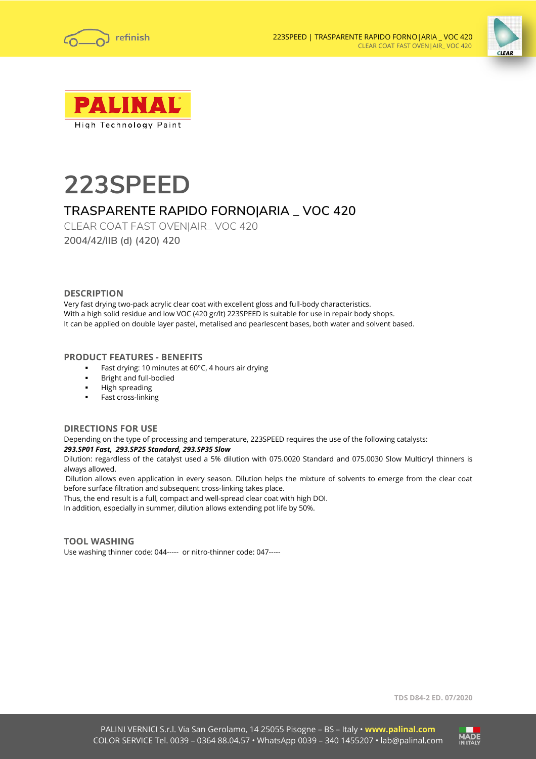





# **223SPEED**

# **TRASPARENTE RAPIDO FORNO|ARIA \_ VOC 420**

CLEAR COAT FAST OVEN|AIR\_ VOC 420 **2004/42/IIB (d) (420) 420**

## **DESCRIPTION**

Very fast drying two-pack acrylic clear coat with excellent gloss and full-body characteristics. With a high solid residue and low VOC (420 gr/lt) 223SPEED is suitable for use in repair body shops. It can be applied on double layer pastel, metalised and pearlescent bases, both water and solvent based.

# **PRODUCT FEATURES - BENEFITS**

- Fast drying: 10 minutes at 60°C, 4 hours air drying
- Bright and full-bodied
- High spreading
- Fast cross-linking

## **DIRECTIONS FOR USE**

Depending on the type of processing and temperature, 223SPEED requires the use of the following catalysts: *293.SP01 Fast, 293.SP25 Standard, 293.SP35 Slow*

Dilution: regardless of the catalyst used a 5% dilution with 075.0020 Standard and 075.0030 Slow Multicryl thinners is always allowed.

Dilution allows even application in every season. Dilution helps the mixture of solvents to emerge from the clear coat before surface filtration and subsequent cross-linking takes place.

Thus, the end result is a full, compact and well-spread clear coat with high DOI.

In addition, especially in summer, dilution allows extending pot life by 50%.

## **TOOL WASHING**

Use washing thinner code: 044----- or nitro-thinner code: 047-----